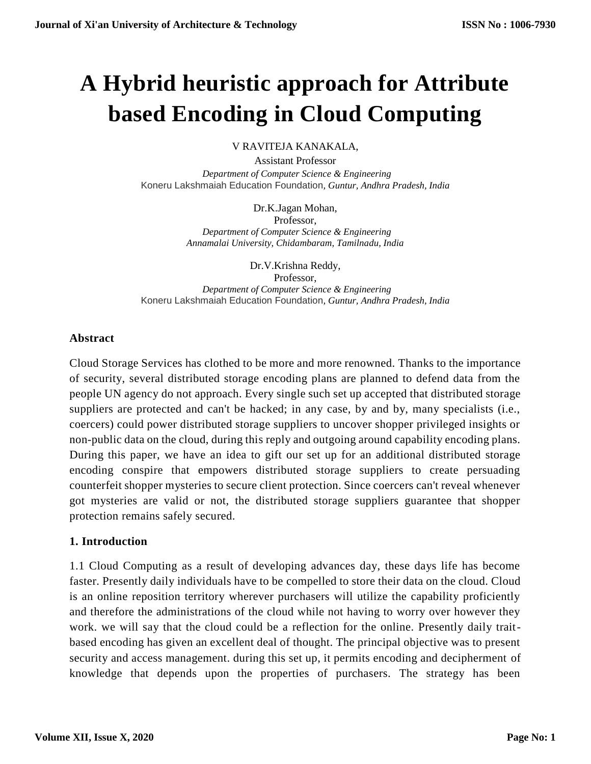# **A Hybrid heuristic approach for Attribute based Encoding in Cloud Computing**

V RAVITEJA KANAKALA,

Assistant Professor  *Department of Computer Science & Engineering* Koneru Lakshmaiah Education Foundation*, Guntur, Andhra Pradesh, India*

> Dr.K.Jagan Mohan, Professor,  *Department of Computer Science & Engineering Annamalai University, Chidambaram, Tamilnadu, India*

Dr.V.Krishna Reddy, Professor,  *Department of Computer Science & Engineering* Koneru Lakshmaiah Education Foundation*, Guntur, Andhra Pradesh, India*

#### **Abstract**

Cloud Storage Services has clothed to be more and more renowned. Thanks to the importance of security, several distributed storage encoding plans are planned to defend data from the people UN agency do not approach. Every single such set up accepted that distributed storage suppliers are protected and can't be hacked; in any case, by and by, many specialists (i.e., coercers) could power distributed storage suppliers to uncover shopper privileged insights or non-public data on the cloud, during this reply and outgoing around capability encoding plans. During this paper, we have an idea to gift our set up for an additional distributed storage encoding conspire that empowers distributed storage suppliers to create persuading counterfeit shopper mysteries to secure client protection. Since coercers can't reveal whenever got mysteries are valid or not, the distributed storage suppliers guarantee that shopper protection remains safely secured.

# **1. Introduction**

1.1 Cloud Computing as a result of developing advances day, these days life has become faster. Presently daily individuals have to be compelled to store their data on the cloud. Cloud is an online reposition territory wherever purchasers will utilize the capability proficiently and therefore the administrations of the cloud while not having to worry over however they work. we will say that the cloud could be a reflection for the online. Presently daily traitbased encoding has given an excellent deal of thought. The principal objective was to present security and access management. during this set up, it permits encoding and decipherment of knowledge that depends upon the properties of purchasers. The strategy has been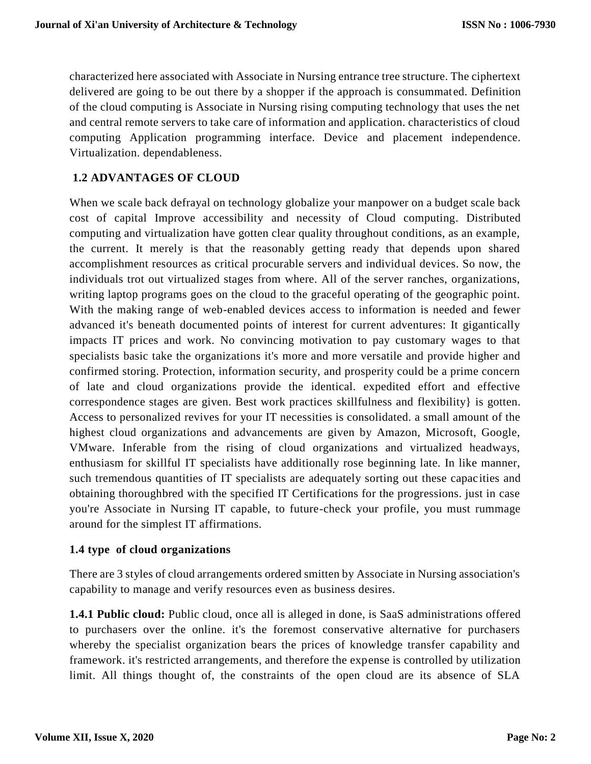characterized here associated with Associate in Nursing entrance tree structure. The ciphertext delivered are going to be out there by a shopper if the approach is consummated. Definition of the cloud computing is Associate in Nursing rising computing technology that uses the net and central remote servers to take care of information and application. characteristics of cloud computing Application programming interface. Device and placement independence. Virtualization. dependableness.

# **1.2 ADVANTAGES OF CLOUD**

When we scale back defrayal on technology globalize your manpower on a budget scale back cost of capital Improve accessibility and necessity of Cloud computing. Distributed computing and virtualization have gotten clear quality throughout conditions, as an example, the current. It merely is that the reasonably getting ready that depends upon shared accomplishment resources as critical procurable servers and individual devices. So now, the individuals trot out virtualized stages from where. All of the server ranches, organizations, writing laptop programs goes on the cloud to the graceful operating of the geographic point. With the making range of web-enabled devices access to information is needed and fewer advanced it's beneath documented points of interest for current adventures: It gigantically impacts IT prices and work. No convincing motivation to pay customary wages to that specialists basic take the organizations it's more and more versatile and provide higher and confirmed storing. Protection, information security, and prosperity could be a prime concern of late and cloud organizations provide the identical. expedited effort and effective correspondence stages are given. Best work practices skillfulness and flexibility} is gotten. Access to personalized revives for your IT necessities is consolidated. a small amount of the highest cloud organizations and advancements are given by Amazon, Microsoft, Google, VMware. Inferable from the rising of cloud organizations and virtualized headways, enthusiasm for skillful IT specialists have additionally rose beginning late. In like manner, such tremendous quantities of IT specialists are adequately sorting out these capacities and obtaining thoroughbred with the specified IT Certifications for the progressions. just in case you're Associate in Nursing IT capable, to future-check your profile, you must rummage around for the simplest IT affirmations.

#### **1.4 type of cloud organizations**

There are 3 styles of cloud arrangements ordered smitten by Associate in Nursing association's capability to manage and verify resources even as business desires.

**1.4.1 Public cloud:** Public cloud, once all is alleged in done, is SaaS administrations offered to purchasers over the online. it's the foremost conservative alternative for purchasers whereby the specialist organization bears the prices of knowledge transfer capability and framework. it's restricted arrangements, and therefore the expense is controlled by utilization limit. All things thought of, the constraints of the open cloud are its absence of SLA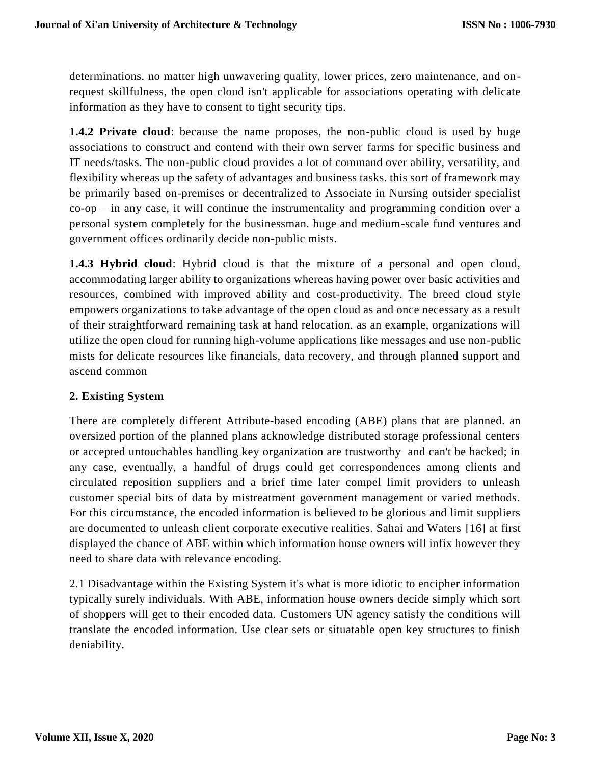determinations. no matter high unwavering quality, lower prices, zero maintenance, and onrequest skillfulness, the open cloud isn't applicable for associations operating with delicate information as they have to consent to tight security tips.

**1.4.2 Private cloud**: because the name proposes, the non-public cloud is used by huge associations to construct and contend with their own server farms for specific business and IT needs/tasks. The non-public cloud provides a lot of command over ability, versatility, and flexibility whereas up the safety of advantages and business tasks. this sort of framework may be primarily based on-premises or decentralized to Associate in Nursing outsider specialist co-op – in any case, it will continue the instrumentality and programming condition over a personal system completely for the businessman. huge and medium-scale fund ventures and government offices ordinarily decide non-public mists.

**1.4.3 Hybrid cloud**: Hybrid cloud is that the mixture of a personal and open cloud, accommodating larger ability to organizations whereas having power over basic activities and resources, combined with improved ability and cost-productivity. The breed cloud style empowers organizations to take advantage of the open cloud as and once necessary as a result of their straightforward remaining task at hand relocation. as an example, organizations will utilize the open cloud for running high-volume applications like messages and use non-public mists for delicate resources like financials, data recovery, and through planned support and ascend common

# **2. Existing System**

There are completely different Attribute-based encoding (ABE) plans that are planned. an oversized portion of the planned plans acknowledge distributed storage professional centers or accepted untouchables handling key organization are trustworthy and can't be hacked; in any case, eventually, a handful of drugs could get correspondences among clients and circulated reposition suppliers and a brief time later compel limit providers to unleash customer special bits of data by mistreatment government management or varied methods. For this circumstance, the encoded information is believed to be glorious and limit suppliers are documented to unleash client corporate executive realities. Sahai and Waters [16] at first displayed the chance of ABE within which information house owners will infix however they need to share data with relevance encoding.

2.1 Disadvantage within the Existing System it's what is more idiotic to encipher information typically surely individuals. With ABE, information house owners decide simply which sort of shoppers will get to their encoded data. Customers UN agency satisfy the conditions will translate the encoded information. Use clear sets or situatable open key structures to finish deniability.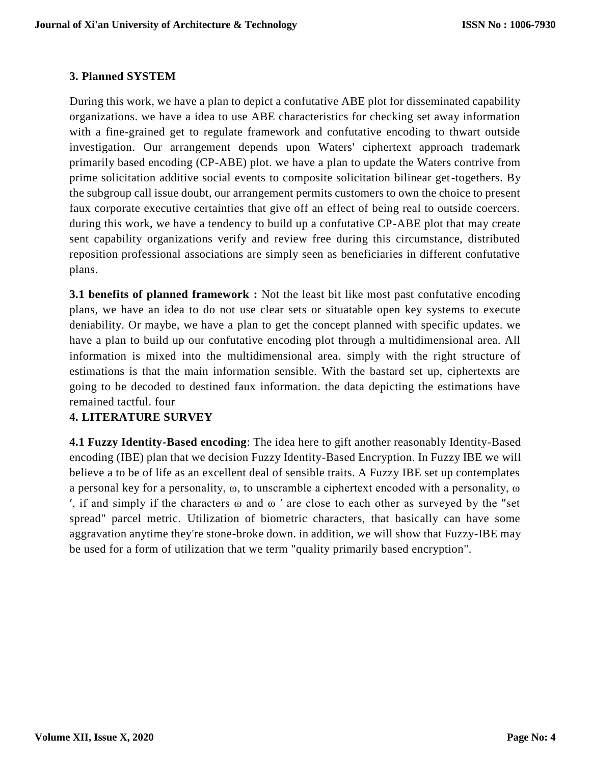# **3. Planned SYSTEM**

During this work, we have a plan to depict a confutative ABE plot for disseminated capability organizations. we have a idea to use ABE characteristics for checking set away information with a fine-grained get to regulate framework and confutative encoding to thwart outside investigation. Our arrangement depends upon Waters' ciphertext approach trademark primarily based encoding (CP-ABE) plot. we have a plan to update the Waters contrive from prime solicitation additive social events to composite solicitation bilinear get-togethers. By the subgroup call issue doubt, our arrangement permits customers to own the choice to present faux corporate executive certainties that give off an effect of being real to outside coercers. during this work, we have a tendency to build up a confutative CP-ABE plot that may create sent capability organizations verify and review free during this circumstance, distributed reposition professional associations are simply seen as beneficiaries in different confutative plans.

**3.1 benefits of planned framework :** Not the least bit like most past confutative encoding plans, we have an idea to do not use clear sets or situatable open key systems to execute deniability. Or maybe, we have a plan to get the concept planned with specific updates. we have a plan to build up our confutative encoding plot through a multidimensional area. All information is mixed into the multidimensional area. simply with the right structure of estimations is that the main information sensible. With the bastard set up, ciphertexts are going to be decoded to destined faux information. the data depicting the estimations have remained tactful. four

# **4. LITERATURE SURVEY**

**4.1 Fuzzy Identity-Based encoding**: The idea here to gift another reasonably Identity-Based encoding (IBE) plan that we decision Fuzzy Identity-Based Encryption. In Fuzzy IBE we will believe a to be of life as an excellent deal of sensible traits. A Fuzzy IBE set up contemplates a personal key for a personality, ω, to unscramble a ciphertext encoded with a personality, ω ′, if and simply if the characters ω and ω ′ are close to each other as surveyed by the "set spread" parcel metric. Utilization of biometric characters, that basically can have some aggravation anytime they're stone-broke down. in addition, we will show that Fuzzy-IBE may be used for a form of utilization that we term "quality primarily based encryption".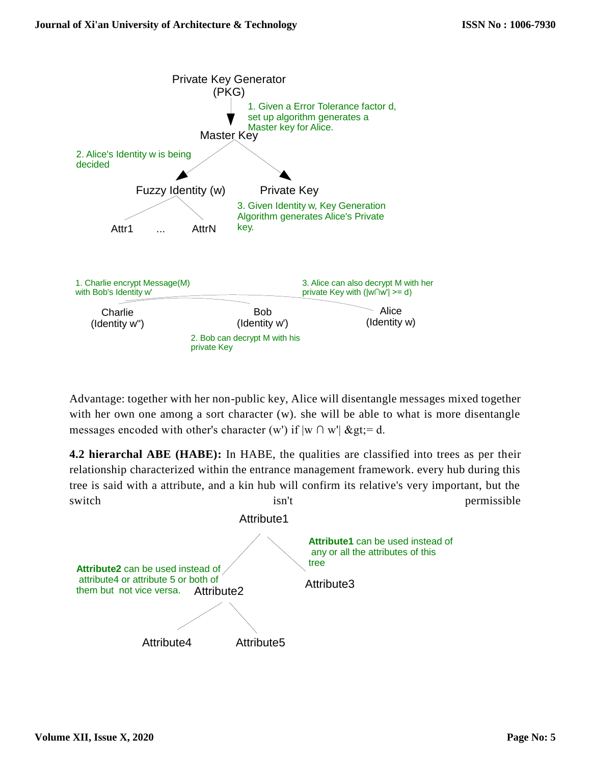

Advantage: together with her non-public key, Alice will disentangle messages mixed together with her own one among a sort character (w). she will be able to what is more disentangle messages encoded with other's character (w') if  $|w \cap w'|$  >= d.

**4.2 hierarchal ABE (HABE):** In HABE, the qualities are classified into trees as per their relationship characterized within the entrance management framework. every hub during this tree is said with a attribute, and a kin hub will confirm its relative's very important, but the switch isn't permissible permissible

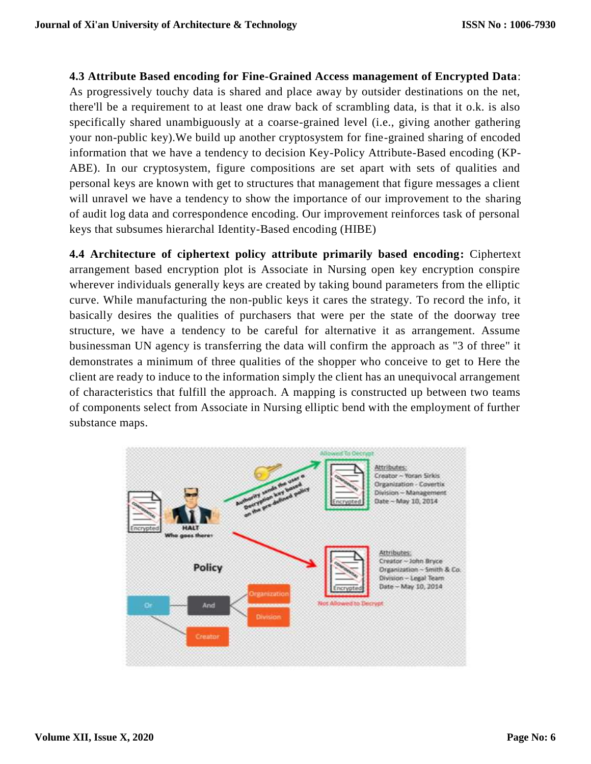**4.3 Attribute Based encoding for Fine-Grained Access management of Encrypted Data**: As progressively touchy data is shared and place away by outsider destinations on the net, there'll be a requirement to at least one draw back of scrambling data, is that it o.k. is also specifically shared unambiguously at a coarse-grained level (i.e., giving another gathering your non-public key).We build up another cryptosystem for fine-grained sharing of encoded information that we have a tendency to decision Key-Policy Attribute-Based encoding (KP-ABE). In our cryptosystem, figure compositions are set apart with sets of qualities and personal keys are known with get to structures that management that figure messages a client will unravel we have a tendency to show the importance of our improvement to the sharing of audit log data and correspondence encoding. Our improvement reinforces task of personal keys that subsumes hierarchal Identity-Based encoding (HIBE)

**4.4 Architecture of ciphertext policy attribute primarily based encoding:** Ciphertext arrangement based encryption plot is Associate in Nursing open key encryption conspire wherever individuals generally keys are created by taking bound parameters from the elliptic curve. While manufacturing the non-public keys it cares the strategy. To record the info, it basically desires the qualities of purchasers that were per the state of the doorway tree structure, we have a tendency to be careful for alternative it as arrangement. Assume businessman UN agency is transferring the data will confirm the approach as "3 of three" it demonstrates a minimum of three qualities of the shopper who conceive to get to Here the client are ready to induce to the information simply the client has an unequivocal arrangement of characteristics that fulfill the approach. A mapping is constructed up between two teams of components select from Associate in Nursing elliptic bend with the employment of further substance maps.

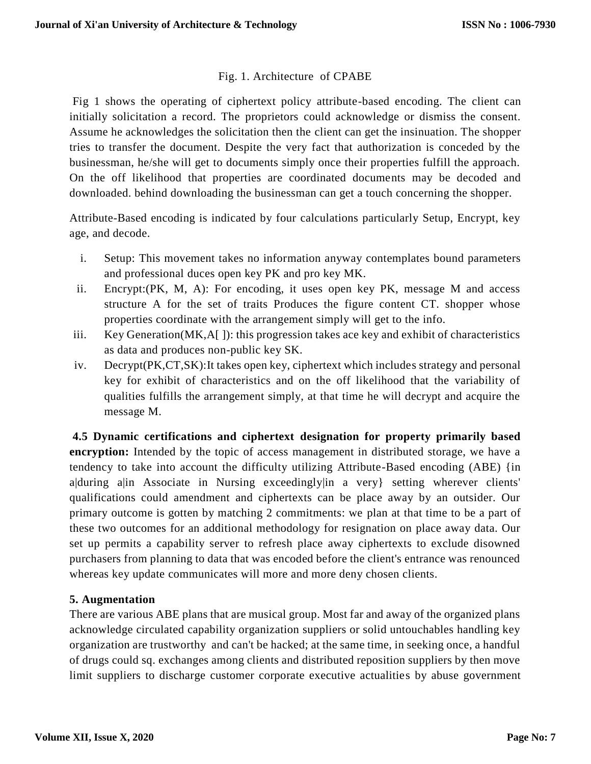# Fig. 1. Architecture of CPABE

Fig 1 shows the operating of ciphertext policy attribute-based encoding. The client can initially solicitation a record. The proprietors could acknowledge or dismiss the consent. Assume he acknowledges the solicitation then the client can get the insinuation. The shopper tries to transfer the document. Despite the very fact that authorization is conceded by the businessman, he/she will get to documents simply once their properties fulfill the approach. On the off likelihood that properties are coordinated documents may be decoded and downloaded. behind downloading the businessman can get a touch concerning the shopper.

Attribute-Based encoding is indicated by four calculations particularly Setup, Encrypt, key age, and decode.

- i. Setup: This movement takes no information anyway contemplates bound parameters and professional duces open key PK and pro key MK.
- ii. Encrypt:(PK, M, A): For encoding, it uses open key PK, message M and access structure A for the set of traits Produces the figure content CT. shopper whose properties coordinate with the arrangement simply will get to the info.
- iii. Key Generation(MK,A[ ]): this progression takes ace key and exhibit of characteristics as data and produces non-public key SK.
- iv. Decrypt(PK,CT,SK):It takes open key, ciphertext which includes strategy and personal key for exhibit of characteristics and on the off likelihood that the variability of qualities fulfills the arrangement simply, at that time he will decrypt and acquire the message M.

**4.5 Dynamic certifications and ciphertext designation for property primarily based encryption:** Intended by the topic of access management in distributed storage, we have a tendency to take into account the difficulty utilizing Attribute-Based encoding (ABE) {in a|during a|in Associate in Nursing exceedingly|in a very} setting wherever clients' qualifications could amendment and ciphertexts can be place away by an outsider. Our primary outcome is gotten by matching 2 commitments: we plan at that time to be a part of these two outcomes for an additional methodology for resignation on place away data. Our set up permits a capability server to refresh place away ciphertexts to exclude disowned purchasers from planning to data that was encoded before the client's entrance was renounced whereas key update communicates will more and more deny chosen clients.

# **5. Augmentation**

There are various ABE plans that are musical group. Most far and away of the organized plans acknowledge circulated capability organization suppliers or solid untouchables handling key organization are trustworthy and can't be hacked; at the same time, in seeking once, a handful of drugs could sq. exchanges among clients and distributed reposition suppliers by then move limit suppliers to discharge customer corporate executive actualities by abuse government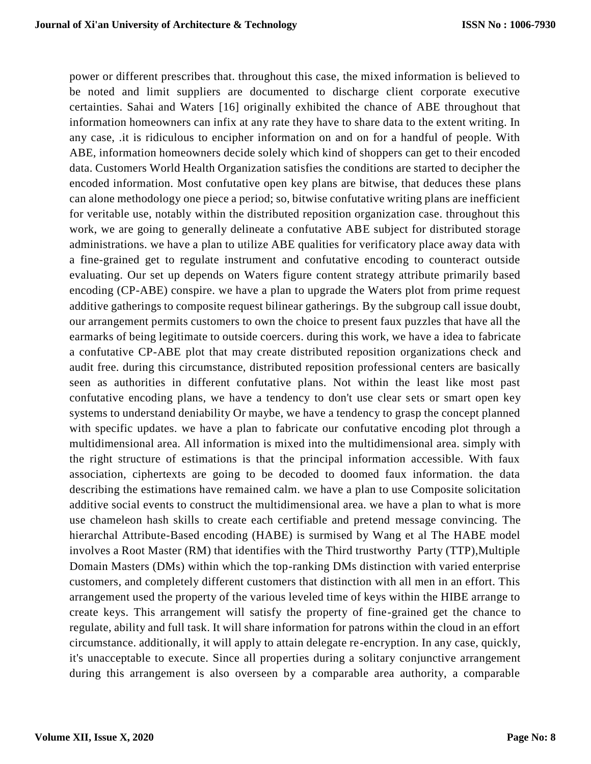power or different prescribes that. throughout this case, the mixed information is believed to be noted and limit suppliers are documented to discharge client corporate executive certainties. Sahai and Waters [16] originally exhibited the chance of ABE throughout that information homeowners can infix at any rate they have to share data to the extent writing. In any case, .it is ridiculous to encipher information on and on for a handful of people. With ABE, information homeowners decide solely which kind of shoppers can get to their encoded data. Customers World Health Organization satisfies the conditions are started to decipher the encoded information. Most confutative open key plans are bitwise, that deduces these plans can alone methodology one piece a period; so, bitwise confutative writing plans are inefficient for veritable use, notably within the distributed reposition organization case. throughout this work, we are going to generally delineate a confutative ABE subject for distributed storage administrations. we have a plan to utilize ABE qualities for verificatory place away data with a fine-grained get to regulate instrument and confutative encoding to counteract outside evaluating. Our set up depends on Waters figure content strategy attribute primarily based encoding (CP-ABE) conspire. we have a plan to upgrade the Waters plot from prime request additive gatherings to composite request bilinear gatherings. By the subgroup call issue doubt, our arrangement permits customers to own the choice to present faux puzzles that have all the earmarks of being legitimate to outside coercers. during this work, we have a idea to fabricate a confutative CP-ABE plot that may create distributed reposition organizations check and audit free. during this circumstance, distributed reposition professional centers are basically seen as authorities in different confutative plans. Not within the least like most past confutative encoding plans, we have a tendency to don't use clear sets or smart open key systems to understand deniability Or maybe, we have a tendency to grasp the concept planned with specific updates. we have a plan to fabricate our confutative encoding plot through a multidimensional area. All information is mixed into the multidimensional area. simply with the right structure of estimations is that the principal information accessible. With faux association, ciphertexts are going to be decoded to doomed faux information. the data describing the estimations have remained calm. we have a plan to use Composite solicitation additive social events to construct the multidimensional area. we have a plan to what is more use chameleon hash skills to create each certifiable and pretend message convincing. The hierarchal Attribute-Based encoding (HABE) is surmised by Wang et al The HABE model involves a Root Master (RM) that identifies with the Third trustworthy Party (TTP),Multiple Domain Masters (DMs) within which the top-ranking DMs distinction with varied enterprise customers, and completely different customers that distinction with all men in an effort. This arrangement used the property of the various leveled time of keys within the HIBE arrange to create keys. This arrangement will satisfy the property of fine-grained get the chance to regulate, ability and full task. It will share information for patrons within the cloud in an effort circumstance. additionally, it will apply to attain delegate re-encryption. In any case, quickly, it's unacceptable to execute. Since all properties during a solitary conjunctive arrangement during this arrangement is also overseen by a comparable area authority, a comparable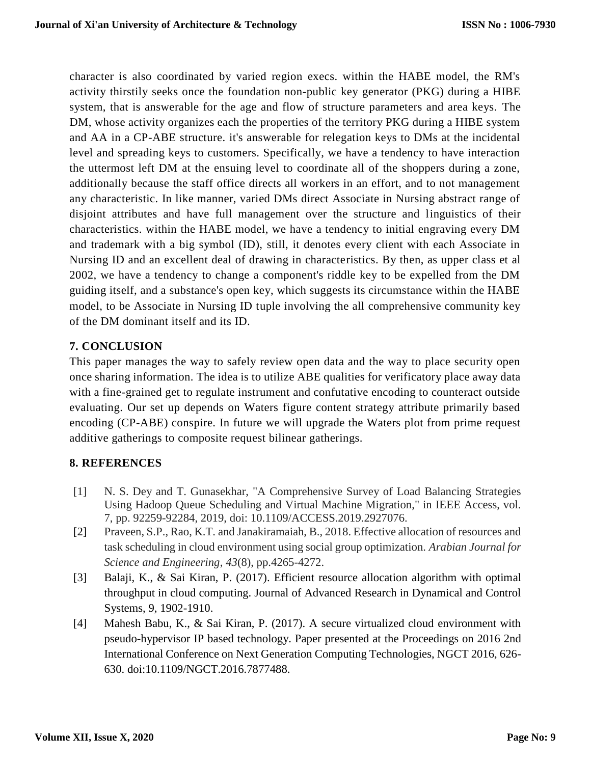character is also coordinated by varied region execs. within the HABE model, the RM's activity thirstily seeks once the foundation non-public key generator (PKG) during a HIBE system, that is answerable for the age and flow of structure parameters and area keys. The DM, whose activity organizes each the properties of the territory PKG during a HIBE system and AA in a CP-ABE structure. it's answerable for relegation keys to DMs at the incidental level and spreading keys to customers. Specifically, we have a tendency to have interaction the uttermost left DM at the ensuing level to coordinate all of the shoppers during a zone, additionally because the staff office directs all workers in an effort, and to not management any characteristic. In like manner, varied DMs direct Associate in Nursing abstract range of disjoint attributes and have full management over the structure and linguistics of their characteristics. within the HABE model, we have a tendency to initial engraving every DM and trademark with a big symbol (ID), still, it denotes every client with each Associate in Nursing ID and an excellent deal of drawing in characteristics. By then, as upper class et al 2002, we have a tendency to change a component's riddle key to be expelled from the DM guiding itself, and a substance's open key, which suggests its circumstance within the HABE model, to be Associate in Nursing ID tuple involving the all comprehensive community key of the DM dominant itself and its ID.

# **7. CONCLUSION**

This paper manages the way to safely review open data and the way to place security open once sharing information. The idea is to utilize ABE qualities for verificatory place away data with a fine-grained get to regulate instrument and confutative encoding to counteract outside evaluating. Our set up depends on Waters figure content strategy attribute primarily based encoding (CP-ABE) conspire. In future we will upgrade the Waters plot from prime request additive gatherings to composite request bilinear gatherings.

# **8. REFERENCES**

- [1] N. S. Dey and T. Gunasekhar, "A Comprehensive Survey of Load Balancing Strategies Using Hadoop Queue Scheduling and Virtual Machine Migration," in IEEE Access, vol. 7, pp. 92259-92284, 2019, doi: 10.1109/ACCESS.2019.2927076.
- [2] Praveen, S.P., Rao, K.T. and Janakiramaiah, B., 2018. Effective allocation of resources and task scheduling in cloud environment using social group optimization. *Arabian Journal for Science and Engineering*, *43*(8), pp.4265-4272.
- [3] Balaji, K., & Sai Kiran, P. (2017). Efficient resource allocation algorithm with optimal throughput in cloud computing. Journal of Advanced Research in Dynamical and Control Systems, 9, 1902-1910.
- [4] Mahesh Babu, K., & Sai Kiran, P. (2017). A secure virtualized cloud environment with pseudo-hypervisor IP based technology. Paper presented at the Proceedings on 2016 2nd International Conference on Next Generation Computing Technologies, NGCT 2016, 626- 630. doi:10.1109/NGCT.2016.7877488.